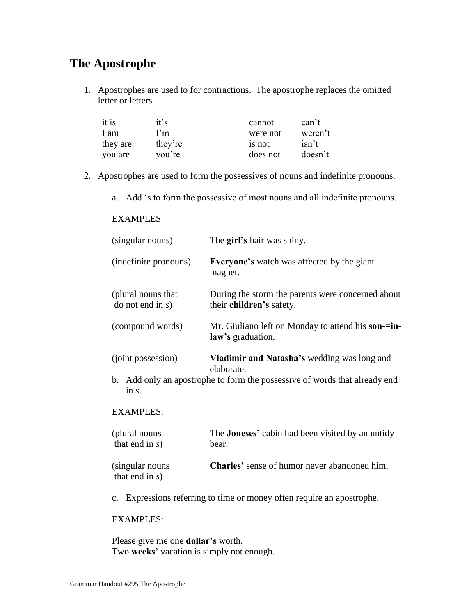## **The Apostrophe**

1. Apostrophes are used to for contractions. The apostrophe replaces the omitted letter or letters.

| it is    | it's    | cannot   | can't   |
|----------|---------|----------|---------|
| 1 am     | I'm     | were not | weren't |
| they are | they're | is not   | isn't   |
| you are  | you're  | does not | doesn't |

- 2. Apostrophes are used to form the possessives of nouns and indefinite pronouns.
	- a. Add "s to form the possessive of most nouns and all indefinite pronouns.

## EXAMPLES

| (singular nouns)                            | The girl's hair was shiny.                                                    |
|---------------------------------------------|-------------------------------------------------------------------------------|
| (indefinite pronouns)                       | <b>Everyone's</b> watch was affected by the giant<br>magnet.                  |
| (plural nouns that)<br>$\phi$ not end in s) | During the storm the parents were concerned about<br>their children's safety. |
| (compound words)                            | Mr. Giuliano left on Monday to attend his son-=in-<br>law's graduation.       |
| (joint possession)                          | <b>Vladimir and Natasha's wedding was long and</b><br>elaborate.              |

b. Add only an apostrophe to form the possessive of words that already end in *s*.

## EXAMPLES:

| (plural nouns)                        | The <b>Joneses'</b> cabin had been visited by an untidy |
|---------------------------------------|---------------------------------------------------------|
| that end in $s$ )                     | bear.                                                   |
| (singular nouns)<br>that end in $s$ ) | <b>Charles'</b> sense of humor never abandoned him.     |

c. Expressions referring to time or money often require an apostrophe.

## EXAMPLES:

Please give me one **dollar's** worth. Two **weeks'** vacation is simply not enough.